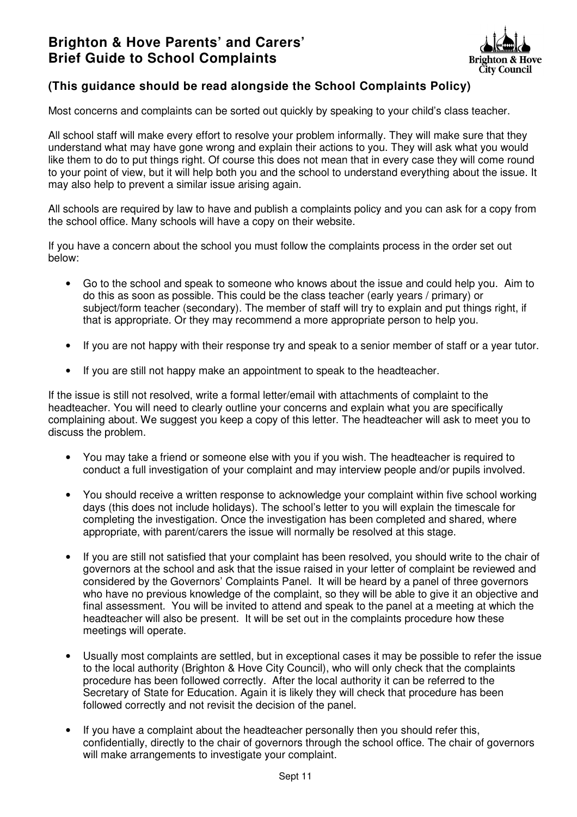

## **(This guidance should be read alongside the School Complaints Policy)**

Most concerns and complaints can be sorted out quickly by speaking to your child's class teacher.

All school staff will make every effort to resolve your problem informally. They will make sure that they understand what may have gone wrong and explain their actions to you. They will ask what you would like them to do to put things right. Of course this does not mean that in every case they will come round to your point of view, but it will help both you and the school to understand everything about the issue. It may also help to prevent a similar issue arising again.

All schools are required by law to have and publish a complaints policy and you can ask for a copy from the school office. Many schools will have a copy on their website.

If you have a concern about the school you must follow the complaints process in the order set out below:

- Go to the school and speak to someone who knows about the issue and could help you. Aim to do this as soon as possible. This could be the class teacher (early years / primary) or subject/form teacher (secondary). The member of staff will try to explain and put things right, if that is appropriate. Or they may recommend a more appropriate person to help you.
- If you are not happy with their response try and speak to a senior member of staff or a year tutor.
- If you are still not happy make an appointment to speak to the headteacher.

If the issue is still not resolved, write a formal letter/email with attachments of complaint to the headteacher. You will need to clearly outline your concerns and explain what you are specifically complaining about. We suggest you keep a copy of this letter. The headteacher will ask to meet you to discuss the problem.

- You may take a friend or someone else with you if you wish. The headteacher is required to conduct a full investigation of your complaint and may interview people and/or pupils involved.
- You should receive a written response to acknowledge your complaint within five school working days (this does not include holidays). The school's letter to you will explain the timescale for completing the investigation. Once the investigation has been completed and shared, where appropriate, with parent/carers the issue will normally be resolved at this stage.
- If you are still not satisfied that your complaint has been resolved, you should write to the chair of governors at the school and ask that the issue raised in your letter of complaint be reviewed and considered by the Governors' Complaints Panel. It will be heard by a panel of three governors who have no previous knowledge of the complaint, so they will be able to give it an objective and final assessment. You will be invited to attend and speak to the panel at a meeting at which the headteacher will also be present. It will be set out in the complaints procedure how these meetings will operate.
- Usually most complaints are settled, but in exceptional cases it may be possible to refer the issue to the local authority (Brighton & Hove City Council), who will only check that the complaints procedure has been followed correctly. After the local authority it can be referred to the Secretary of State for Education. Again it is likely they will check that procedure has been followed correctly and not revisit the decision of the panel.
- If you have a complaint about the headteacher personally then you should refer this, confidentially, directly to the chair of governors through the school office. The chair of governors will make arrangements to investigate your complaint.